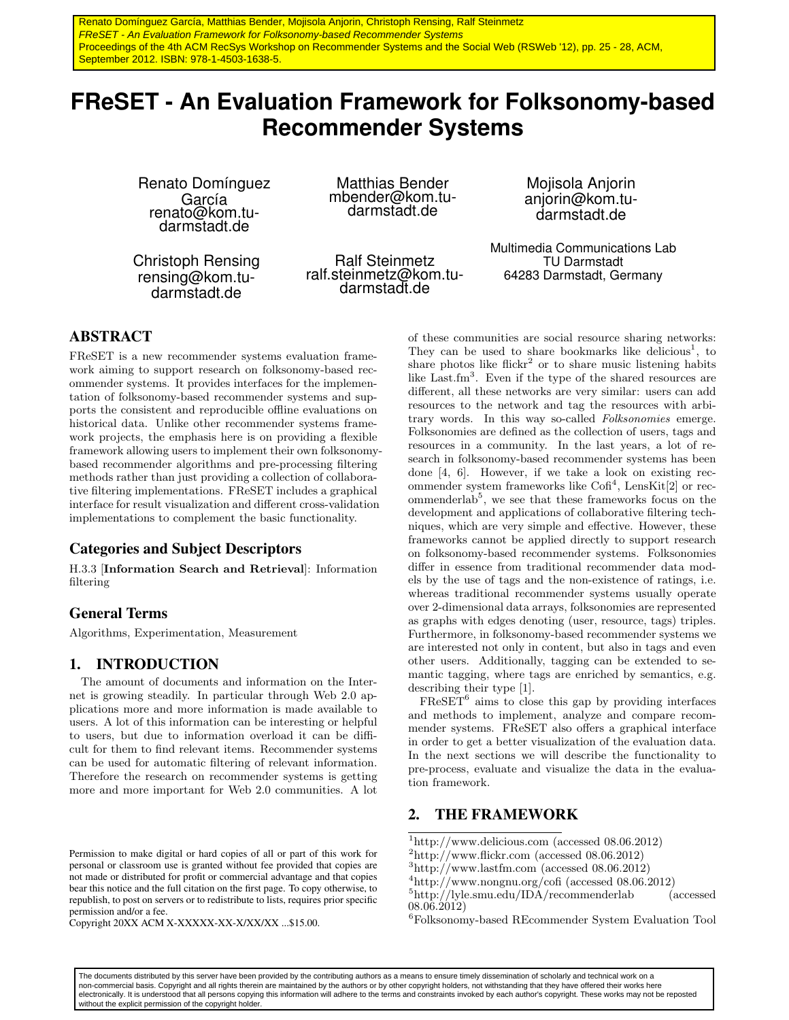Renato Domínguez García, Matthias Bender, Mojisola Anjorin, Christoph Rensing, Ralf Steinmetz FReSET - An Evaluation Framework for Folksonomy-based Recommender Systems Proceedings of the 4th ACM RecSys Workshop on Recommender Systems and the Social Web (RSWeb '12), pp. 25 - 28, ACM, September 2012. ISBN: 978-1-4503-1638-5.

# **FReSET - An Evaluation Framework for Folksonomy-based Recommender Systems**

Renato Domínguez García renato@kom.tudarmstadt.de

Christoph Rensing rensing@kom.tudarmstadt.de

Matthias Bender mbender@kom.tudarmstadt.de

Ralf Steinmetz ralf.steinmetz@kom.tudarmstadt.de

Mojisola Anjorin anjorin@kom.tudarmstadt.de

Multimedia Communications Lab TU Darmstadt 64283 Darmstadt, Germany

# ABSTRACT

FReSET is a new recommender systems evaluation framework aiming to support research on folksonomy-based recommender systems. It provides interfaces for the implementation of folksonomy-based recommender systems and supports the consistent and reproducible offline evaluations on historical data. Unlike other recommender systems framework projects, the emphasis here is on providing a flexible framework allowing users to implement their own folksonomybased recommender algorithms and pre-processing filtering methods rather than just providing a collection of collaborative filtering implementations. FReSET includes a graphical interface for result visualization and different cross-validation implementations to complement the basic functionality.

## Categories and Subject Descriptors

H.3.3 [Information Search and Retrieval]: Information filtering

# General Terms

Algorithms, Experimentation, Measurement

## 1. INTRODUCTION

The amount of documents and information on the Internet is growing steadily. In particular through Web 2.0 applications more and more information is made available to users. A lot of this information can be interesting or helpful to users, but due to information overload it can be difficult for them to find relevant items. Recommender systems can be used for automatic filtering of relevant information. Therefore the research on recommender systems is getting more and more important for Web 2.0 communities. A lot

Copyright 20XX ACM X-XXXXX-XX-X/XX/XX ...\$15.00.

of these communities are social resource sharing networks: They can be used to share bookmarks like delicious<sup>1</sup>, to share photos like flick $r^2$  or to share music listening habits like Last.fm<sup>3</sup>. Even if the type of the shared resources are different, all these networks are very similar: users can add resources to the network and tag the resources with arbitrary words. In this way so-called Folksonomies emerge. Folksonomies are defined as the collection of users, tags and resources in a community. In the last years, a lot of research in folksonomy-based recommender systems has been done [4, 6]. However, if we take a look on existing recommender system frameworks like Cofi<sup>4</sup>, LensKit<sup>[2]</sup> or recommenderlab<sup>5</sup>, we see that these frameworks focus on the development and applications of collaborative filtering techniques, which are very simple and effective. However, these frameworks cannot be applied directly to support research on folksonomy-based recommender systems. Folksonomies differ in essence from traditional recommender data models by the use of tags and the non-existence of ratings, i.e. whereas traditional recommender systems usually operate over 2-dimensional data arrays, folksonomies are represented as graphs with edges denoting (user, resource, tags) triples. Furthermore, in folksonomy-based recommender systems we are interested not only in content, but also in tags and even other users. Additionally, tagging can be extended to semantic tagging, where tags are enriched by semantics, e.g. describing their type [1].

 $F$ ReSE $T<sup>6</sup>$  aims to close this gap by providing interfaces and methods to implement, analyze and compare recommender systems. FReSET also offers a graphical interface in order to get a better visualization of the evaluation data. In the next sections we will describe the functionality to pre-process, evaluate and visualize the data in the evaluation framework.

# 2. THE FRAMEWORK

 $^{\rm 1}$  http://www.delicious.com (accessed 08.06.2012)

The documents distributed by this server have been provided by the contributing authors as a means to ensure timely dissemination of scholarly and technical work on a non-commercial basis. Copyright and all rights therein are maintained by the authors or by other copyright holders, not withstanding that they have offered their works here electronically. It is understood that all persons copying this information will adhere to the terms and constraints invoked by each author's copyright. These works may not be reposted without the explicit permission of the copyright holder.

Permission to make digital or hard copies of all or part of this work for personal or classroom use is granted without fee provided that copies are not made or distributed for profit or commercial advantage and that copies bear this notice and the full citation on the first page. To copy otherwise, to republish, to post on servers or to redistribute to lists, requires prior specific permission and/or a fee.

 $^{2}$ http://www.flickr.com (accessed 08.06.2012)

 $^3$  http://www.lastfm.com (accessed 08.06.2012)

 $^{4}$ http://www.nongnu.org/cofi (accessed 08.06.2012)

<sup>5</sup>http://lyle.smu.edu/IDA/recommenderlab (accessed 08.06.2012)

<sup>6</sup>Folksonomy-based REcommender System Evaluation Tool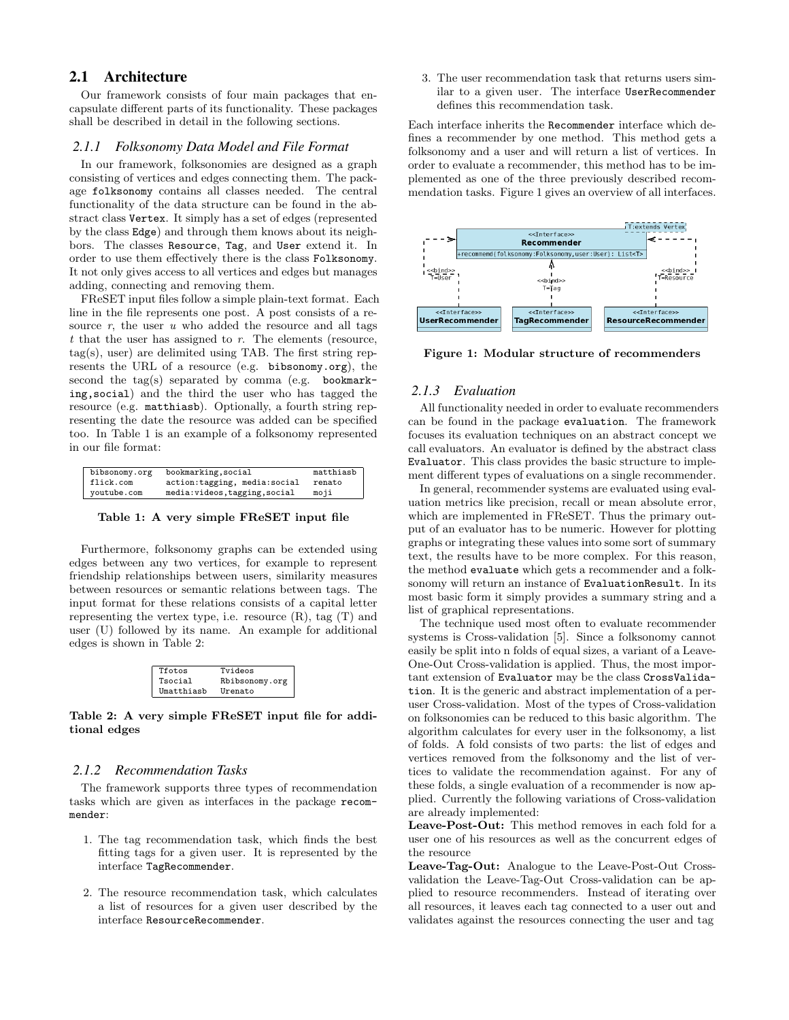### 2.1 Architecture

Our framework consists of four main packages that encapsulate different parts of its functionality. These packages shall be described in detail in the following sections.

#### *2.1.1 Folksonomy Data Model and File Format*

In our framework, folksonomies are designed as a graph consisting of vertices and edges connecting them. The package folksonomy contains all classes needed. The central functionality of the data structure can be found in the abstract class Vertex. It simply has a set of edges (represented by the class Edge) and through them knows about its neighbors. The classes Resource, Tag, and User extend it. In order to use them effectively there is the class Folksonomy. It not only gives access to all vertices and edges but manages adding, connecting and removing them.

FReSET input files follow a simple plain-text format. Each line in the file represents one post. A post consists of a resource  $r$ , the user  $u$  who added the resource and all tags  $t$  that the user has assigned to  $r$ . The elements (resource, tag(s), user) are delimited using TAB. The first string represents the URL of a resource (e.g. bibsonomy.org), the second the tag(s) separated by comma (e.g. bookmarking,social) and the third the user who has tagged the resource (e.g. matthiasb). Optionally, a fourth string representing the date the resource was added can be specified too. In Table 1 is an example of a folksonomy represented in our file format:

| bibsonomy.org | bookmarking, social            | matthiash |
|---------------|--------------------------------|-----------|
| flick.com     | action: tagging, media: social | renato    |
| youtube.com   | media: videos, tagging, social | moji      |

Table 1: A very simple FReSET input file

Furthermore, folksonomy graphs can be extended using edges between any two vertices, for example to represent friendship relationships between users, similarity measures between resources or semantic relations between tags. The input format for these relations consists of a capital letter representing the vertex type, i.e. resource  $(R)$ , tag  $(T)$  and user (U) followed by its name. An example for additional edges is shown in Table 2:

| Tfotos     | Tvideos        |
|------------|----------------|
| Tsocial    | Rbibsonomy.org |
| Umatthiasb | Urenato        |

Table 2: A very simple FReSET input file for additional edges

#### *2.1.2 Recommendation Tasks*

The framework supports three types of recommendation tasks which are given as interfaces in the package recommender:

- 1. The tag recommendation task, which finds the best fitting tags for a given user. It is represented by the interface TagRecommender.
- 2. The resource recommendation task, which calculates a list of resources for a given user described by the interface ResourceRecommender.

3. The user recommendation task that returns users similar to a given user. The interface UserRecommender defines this recommendation task.

Each interface inherits the Recommender interface which defines a recommender by one method. This method gets a folksonomy and a user and will return a list of vertices. In order to evaluate a recommender, this method has to be implemented as one of the three previously described recommendation tasks. Figure 1 gives an overview of all interfaces.



Figure 1: Modular structure of recommenders

#### *2.1.3 Evaluation*

All functionality needed in order to evaluate recommenders can be found in the package evaluation. The framework focuses its evaluation techniques on an abstract concept we call evaluators. An evaluator is defined by the abstract class Evaluator. This class provides the basic structure to implement different types of evaluations on a single recommender.

In general, recommender systems are evaluated using evaluation metrics like precision, recall or mean absolute error, which are implemented in FReSET. Thus the primary output of an evaluator has to be numeric. However for plotting graphs or integrating these values into some sort of summary text, the results have to be more complex. For this reason, the method evaluate which gets a recommender and a folksonomy will return an instance of EvaluationResult. In its most basic form it simply provides a summary string and a list of graphical representations.

The technique used most often to evaluate recommender systems is Cross-validation [5]. Since a folksonomy cannot easily be split into n folds of equal sizes, a variant of a Leave-One-Out Cross-validation is applied. Thus, the most important extension of Evaluator may be the class CrossValidation. It is the generic and abstract implementation of a peruser Cross-validation. Most of the types of Cross-validation on folksonomies can be reduced to this basic algorithm. The algorithm calculates for every user in the folksonomy, a list of folds. A fold consists of two parts: the list of edges and vertices removed from the folksonomy and the list of vertices to validate the recommendation against. For any of these folds, a single evaluation of a recommender is now applied. Currently the following variations of Cross-validation are already implemented:

Leave-Post-Out: This method removes in each fold for a user one of his resources as well as the concurrent edges of the resource

Leave-Tag-Out: Analogue to the Leave-Post-Out Crossvalidation the Leave-Tag-Out Cross-validation can be applied to resource recommenders. Instead of iterating over all resources, it leaves each tag connected to a user out and validates against the resources connecting the user and tag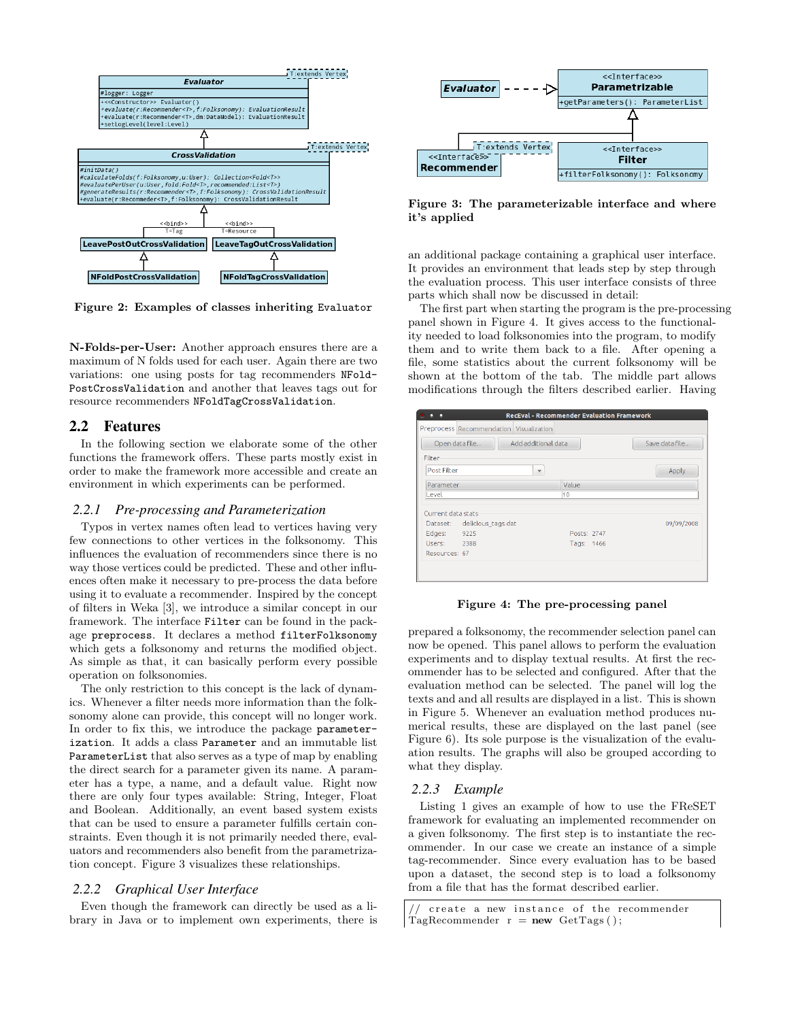

Figure 2: Examples of classes inheriting Evaluator

N-Folds-per-User: Another approach ensures there are a maximum of N folds used for each user. Again there are two variations: one using posts for tag recommenders NFold-PostCrossValidation and another that leaves tags out for resource recommenders NFoldTagCrossValidation.

#### 2.2 Features

In the following section we elaborate some of the other functions the framework offers. These parts mostly exist in order to make the framework more accessible and create an environment in which experiments can be performed.

#### *2.2.1 Pre-processing and Parameterization*

Typos in vertex names often lead to vertices having very few connections to other vertices in the folksonomy. This influences the evaluation of recommenders since there is no way those vertices could be predicted. These and other influences often make it necessary to pre-process the data before using it to evaluate a recommender. Inspired by the concept of filters in Weka [3], we introduce a similar concept in our framework. The interface Filter can be found in the package preprocess. It declares a method filterFolksonomy which gets a folksonomy and returns the modified object. As simple as that, it can basically perform every possible operation on folksonomies.

The only restriction to this concept is the lack of dynamics. Whenever a filter needs more information than the folksonomy alone can provide, this concept will no longer work. In order to fix this, we introduce the package parameterization. It adds a class Parameter and an immutable list ParameterList that also serves as a type of map by enabling the direct search for a parameter given its name. A parameter has a type, a name, and a default value. Right now there are only four types available: String, Integer, Float and Boolean. Additionally, an event based system exists that can be used to ensure a parameter fulfills certain constraints. Even though it is not primarily needed there, evaluators and recommenders also benefit from the parametrization concept. Figure 3 visualizes these relationships.

#### *2.2.2 Graphical User Interface*

Even though the framework can directly be used as a library in Java or to implement own experiments, there is



Figure 3: The parameterizable interface and where it's applied

an additional package containing a graphical user interface. It provides an environment that leads step by step through the evaluation process. This user interface consists of three parts which shall now be discussed in detail:

The first part when starting the program is the pre-processing panel shown in Figure 4. It gives access to the functionality needed to load folksonomies into the program, to modify them and to write them back to a file. After opening a file, some statistics about the current folksonomy will be shown at the bottom of the tab. The middle part allows modifications through the filters described earlier. Having

| Preprocess Recommendation Visualization<br>Add additional data<br>Save data file<br>Open data file<br>Filter<br>Post Filter<br>Apply<br>v<br>Value<br>Parameter<br>10<br>Level<br>Current data stats<br>Dataset: delicious tags.dat<br>Edges: 9225<br>Posts: 2747<br>Users: 2388<br>Tags: 1466 | ю             |  | <b>RecEval - Recommender Evaluation Framework</b> |            |
|------------------------------------------------------------------------------------------------------------------------------------------------------------------------------------------------------------------------------------------------------------------------------------------------|---------------|--|---------------------------------------------------|------------|
|                                                                                                                                                                                                                                                                                                |               |  |                                                   |            |
|                                                                                                                                                                                                                                                                                                |               |  |                                                   |            |
|                                                                                                                                                                                                                                                                                                |               |  |                                                   |            |
|                                                                                                                                                                                                                                                                                                |               |  |                                                   |            |
|                                                                                                                                                                                                                                                                                                |               |  |                                                   |            |
|                                                                                                                                                                                                                                                                                                |               |  |                                                   |            |
|                                                                                                                                                                                                                                                                                                |               |  |                                                   |            |
|                                                                                                                                                                                                                                                                                                |               |  |                                                   | 09/09/2008 |
|                                                                                                                                                                                                                                                                                                |               |  |                                                   |            |
|                                                                                                                                                                                                                                                                                                |               |  |                                                   |            |
|                                                                                                                                                                                                                                                                                                | Resources: 67 |  |                                                   |            |

Figure 4: The pre-processing panel

prepared a folksonomy, the recommender selection panel can now be opened. This panel allows to perform the evaluation experiments and to display textual results. At first the recommender has to be selected and configured. After that the evaluation method can be selected. The panel will log the texts and and all results are displayed in a list. This is shown in Figure 5. Whenever an evaluation method produces numerical results, these are displayed on the last panel (see Figure 6). Its sole purpose is the visualization of the evaluation results. The graphs will also be grouped according to what they display.

#### *2.2.3 Example*

Listing 1 gives an example of how to use the FReSET framework for evaluating an implemented recommender on a given folksonomy. The first step is to instantiate the recommender. In our case we create an instance of a simple tag-recommender. Since every evaluation has to be based upon a dataset, the second step is to load a folksonomy from a file that has the format described earlier.

create a new instance of the recommender TagRecommender  $r = new GetTags()$ ;